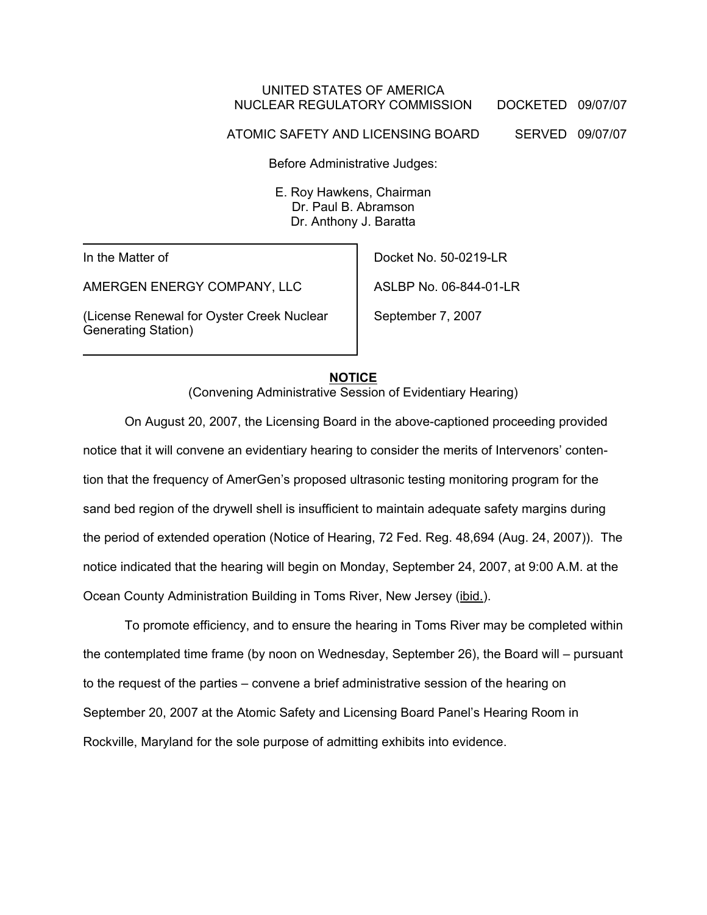### UNITED STATES OF AMERICA NUCLEAR REGULATORY COMMISSION DOCKETED 09/07/07

ATOMIC SAFETY AND LICENSING BOARD SERVED 09/07/07

Before Administrative Judges:

E. Roy Hawkens, Chairman Dr. Paul B. Abramson Dr. Anthony J. Baratta

In the Matter of

AMERGEN ENERGY COMPANY, LLC

(License Renewal for Oyster Creek Nuclear Generating Station)

Docket No. 50-0219-LR

ASLBP No. 06-844-01-LR

September 7, 2007

## **NOTICE**

(Convening Administrative Session of Evidentiary Hearing)

On August 20, 2007, the Licensing Board in the above-captioned proceeding provided notice that it will convene an evidentiary hearing to consider the merits of Intervenors' contention that the frequency of AmerGen's proposed ultrasonic testing monitoring program for the sand bed region of the drywell shell is insufficient to maintain adequate safety margins during the period of extended operation (Notice of Hearing, 72 Fed. Reg. 48,694 (Aug. 24, 2007)). The notice indicated that the hearing will begin on Monday, September 24, 2007, at 9:00 A.M. at the Ocean County Administration Building in Toms River, New Jersey (ibid.).

To promote efficiency, and to ensure the hearing in Toms River may be completed within the contemplated time frame (by noon on Wednesday, September 26), the Board will – pursuant to the request of the parties – convene a brief administrative session of the hearing on September 20, 2007 at the Atomic Safety and Licensing Board Panel's Hearing Room in Rockville, Maryland for the sole purpose of admitting exhibits into evidence.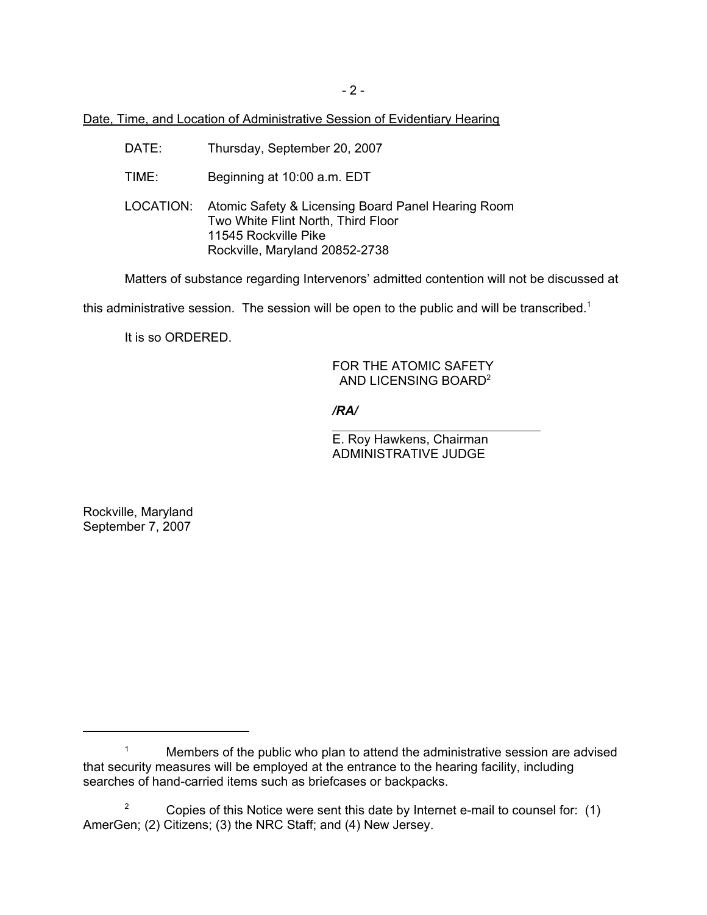- 2 -

Date, Time, and Location of Administrative Session of Evidentiary Hearing

- DATE: Thursday, September 20, 2007
- TIME: Beginning at 10:00 a.m. EDT
- LOCATION: Atomic Safety & Licensing Board Panel Hearing Room Two White Flint North, Third Floor 11545 Rockville Pike Rockville, Maryland 20852-2738

Matters of substance regarding Intervenors' admitted contention will not be discussed at

this administrative session. The session will be open to the public and will be transcribed.<sup>1</sup>

It is so ORDERED.

#### FOR THE ATOMIC SAFETY AND LICENSING BOARD<sup>2</sup>

*/RA/*

 $\overline{a}$ 

E. Roy Hawkens, Chairman ADMINISTRATIVE JUDGE

Rockville, Maryland September 7, 2007

<sup>&</sup>lt;sup>1</sup> Members of the public who plan to attend the administrative session are advised that security measures will be employed at the entrance to the hearing facility, including searches of hand-carried items such as briefcases or backpacks.

<sup>&</sup>lt;sup>2</sup> Copies of this Notice were sent this date by Internet e-mail to counsel for:  $(1)$ AmerGen; (2) Citizens; (3) the NRC Staff; and (4) New Jersey.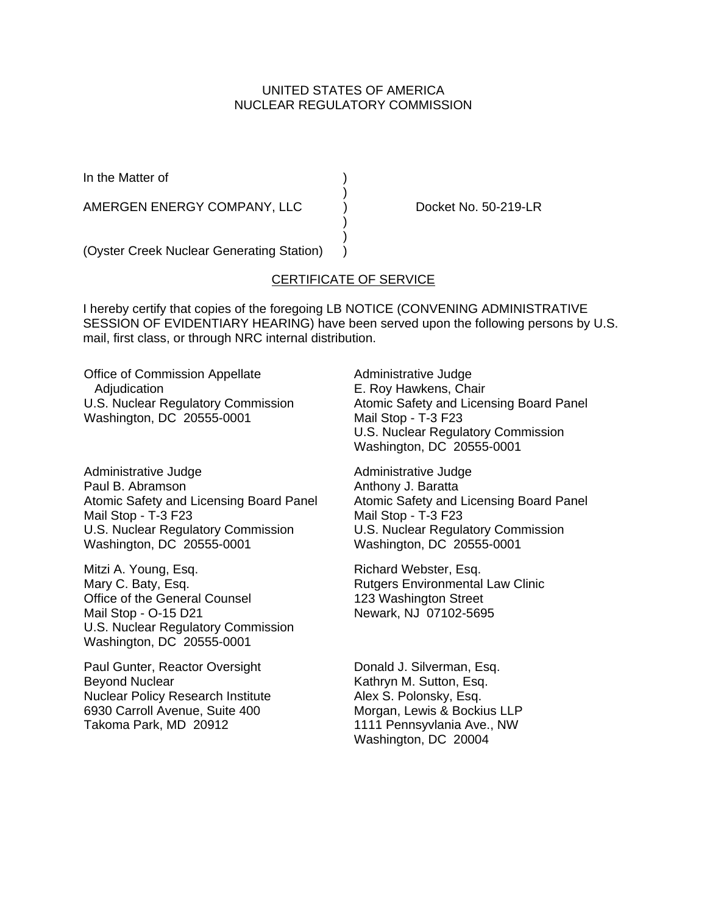## UNITED STATES OF AMERICA NUCLEAR REGULATORY COMMISSION

In the Matter of (a)

AMERGEN ENERGY COMPANY, LLC ) Docket No. 50-219-LR

(Oyster Creek Nuclear Generating Station) )

# CERTIFICATE OF SERVICE

)

 ) )

I hereby certify that copies of the foregoing LB NOTICE (CONVENING ADMINISTRATIVE SESSION OF EVIDENTIARY HEARING) have been served upon the following persons by U.S. mail, first class, or through NRC internal distribution.

Office of Commission Appellate Adjudication U.S. Nuclear Regulatory Commission Washington, DC 20555-0001

Administrative Judge Paul B. Abramson Atomic Safety and Licensing Board Panel Mail Stop - T-3 F23 U.S. Nuclear Regulatory Commission Washington, DC 20555-0001

Mitzi A. Young, Esq. Mary C. Baty, Esq. Office of the General Counsel Mail Stop - O-15 D21 U.S. Nuclear Regulatory Commission Washington, DC 20555-0001

Paul Gunter, Reactor Oversight Beyond Nuclear Nuclear Policy Research Institute 6930 Carroll Avenue, Suite 400 Takoma Park, MD 20912

Administrative Judge E. Roy Hawkens, Chair Atomic Safety and Licensing Board Panel Mail Stop - T-3 F23 U.S. Nuclear Regulatory Commission Washington, DC 20555-0001

Administrative Judge Anthony J. Baratta Atomic Safety and Licensing Board Panel Mail Stop - T-3 F23 U.S. Nuclear Regulatory Commission Washington, DC 20555-0001

Richard Webster, Esq. Rutgers Environmental Law Clinic 123 Washington Street Newark, NJ 07102-5695

Donald J. Silverman, Esq. Kathryn M. Sutton, Esq. Alex S. Polonsky, Esq. Morgan, Lewis & Bockius LLP 1111 Pennsyvlania Ave., NW Washington, DC 20004